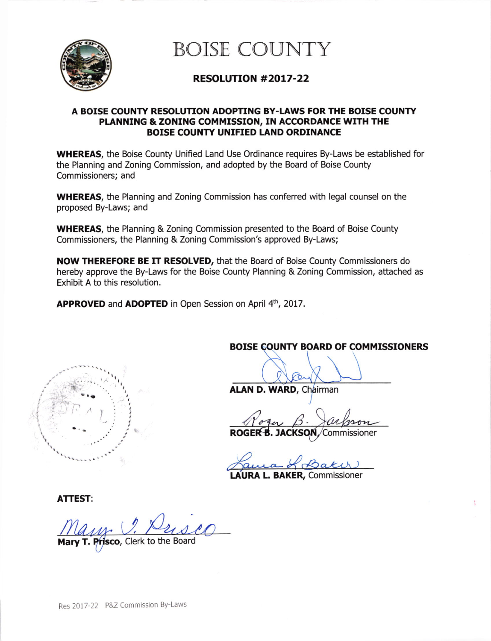

BOISE COUNTY

# RESOLUTION #2OL7-22

### A BOISE COUNTY RESOLUTION ADOPTING BY-LAWS FOR THE BOISE COUNTY PLANNING & ZONING COMMISSION, IN ACCORDANCE WITH THE BOISE COUNTY UNIFIED LAND ORDINANCE

WHEREAS, the Boise County Unified Land Use Ordinance requires By-Laws be established for the Planning and Zoning Commission, and adopted by the Board of Boise County Commissioners; and

WHEREAS, the Planning and Zoning Commission has conferred with legal counsel on the proposed By-Laws; and

WHEREAS, the Planning & Zoning Commission presented to the Board of Boise County Commissioners, the Planning & Zoning Commission's approved By-Laws;

NOW THEREFORE BE IT RESOLVED, that the Board of Boise County Commissioners do hereby approve the By-Laws for the Boise County Planning & Zoning Commission, attached as Exhibit A to this resolution.

APPROVED and ADOPTED in Open Session on April 4th, 2017.



BOISE COUNTY BOARD OF COMMISSIONERS

ALAN D. WARD, Chairman

Roga B. Jackson

JACKSON / Commissioner

AURA L. BAKER, Commissioner

ATTEST:

Mary T. Prisco, Clerk to the Board